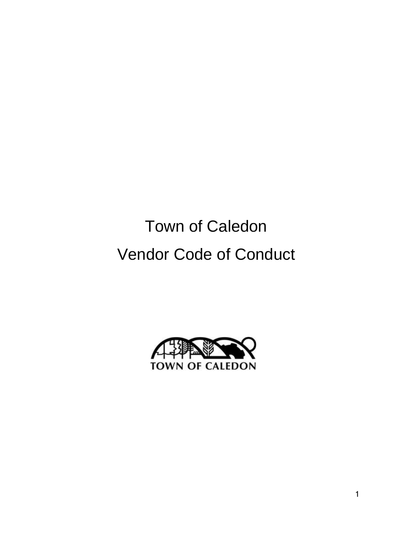# Town of Caledon Vendor Code of Conduct

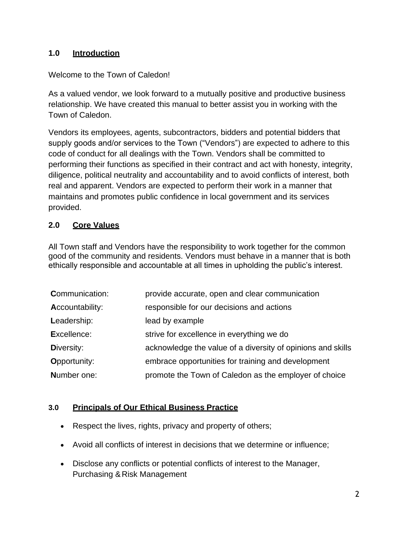#### **1.0 Introduction**

#### Welcome to the Town of Caledon!

As a valued vendor, we look forward to a mutually positive and productive business relationship. We have created this manual to better assist you in working with the Town of Caledon.

Vendors its employees, agents, subcontractors, bidders and potential bidders that supply goods and/or services to the Town ("Vendors") are expected to adhere to this code of conduct for all dealings with the Town. Vendors shall be committed to performing their functions as specified in their contract and act with honesty, integrity, diligence, political neutrality and accountability and to avoid conflicts of interest, both real and apparent. Vendors are expected to perform their work in a manner that maintains and promotes public confidence in local government and its services provided.

#### **2.0 Core Values**

All Town staff and Vendors have the responsibility to work together for the common good of the community and residents. Vendors must behave in a manner that is both ethically responsible and accountable at all times in upholding the public's interest.

| provide accurate, open and clear communication              |
|-------------------------------------------------------------|
| responsible for our decisions and actions                   |
| lead by example                                             |
| strive for excellence in everything we do                   |
| acknowledge the value of a diversity of opinions and skills |
| embrace opportunities for training and development          |
| promote the Town of Caledon as the employer of choice       |
|                                                             |

#### **3.0 Principals of Our Ethical Business Practice**

- Respect the lives, rights, privacy and property of others;
- Avoid all conflicts of interest in decisions that we determine or influence;
- Disclose any conflicts or potential conflicts of interest to the Manager, Purchasing & Risk Management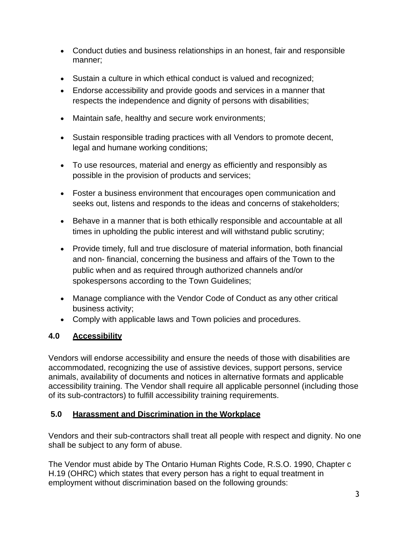- Conduct duties and business relationships in an honest, fair and responsible manner;
- Sustain a culture in which ethical conduct is valued and recognized;
- Endorse accessibility and provide goods and services in a manner that respects the independence and dignity of persons with disabilities;
- Maintain safe, healthy and secure work environments;
- Sustain responsible trading practices with all Vendors to promote decent, legal and humane working conditions;
- To use resources, material and energy as efficiently and responsibly as possible in the provision of products and services;
- Foster a business environment that encourages open communication and seeks out, listens and responds to the ideas and concerns of stakeholders;
- Behave in a manner that is both ethically responsible and accountable at all times in upholding the public interest and will withstand public scrutiny;
- Provide timely, full and true disclosure of material information, both financial and non- financial, concerning the business and affairs of the Town to the public when and as required through authorized channels and/or spokespersons according to the Town Guidelines;
- Manage compliance with the Vendor Code of Conduct as any other critical business activity;
- Comply with applicable laws and Town policies and procedures.

# **4.0 Accessibility**

Vendors will endorse accessibility and ensure the needs of those with disabilities are accommodated, recognizing the use of assistive devices, support persons, service animals, availability of documents and notices in alternative formats and applicable accessibility training. The Vendor shall require all applicable personnel (including those of its sub-contractors) to fulfill accessibility training requirements.

## **5.0 Harassment and Discrimination in the Workplace**

Vendors and their sub-contractors shall treat all people with respect and dignity. No one shall be subject to any form of abuse.

The Vendor must abide by The Ontario Human Rights Code, R.S.O. 1990, Chapter c H.19 (OHRC) which states that every person has a right to equal treatment in employment without discrimination based on the following grounds: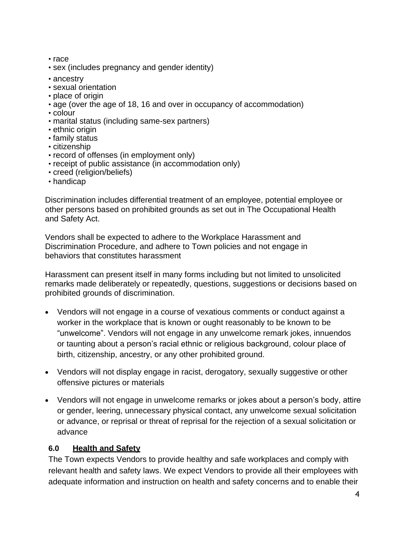- race
- sex (includes pregnancy and gender identity)
- ancestry
- sexual orientation
- place of origin
- age (over the age of 18, 16 and over in occupancy of accommodation)
- colour
- marital status (including same-sex partners)
- ethnic origin
- family status
- citizenship
- record of offenses (in employment only)
- receipt of public assistance (in accommodation only)
- creed (religion/beliefs)
- handicap

Discrimination includes differential treatment of an employee, potential employee or other persons based on prohibited grounds as set out in The Occupational Health and Safety Act.

Vendors shall be expected to adhere to the Workplace Harassment and Discrimination Procedure, and adhere to Town policies and not engage in behaviors that constitutes harassment

Harassment can present itself in many forms including but not limited to unsolicited remarks made deliberately or repeatedly, questions, suggestions or decisions based on prohibited grounds of discrimination.

- Vendors will not engage in a course of vexatious comments or conduct against a worker in the workplace that is known or ought reasonably to be known to be "unwelcome". Vendors will not engage in any unwelcome remark jokes, innuendos or taunting about a person's racial ethnic or religious background, colour place of birth, citizenship, ancestry, or any other prohibited ground.
- Vendors will not display engage in racist, derogatory, sexually suggestive or other offensive pictures or materials
- Vendors will not engage in unwelcome remarks or jokes about a person's body, attire or gender, leering, unnecessary physical contact, any unwelcome sexual solicitation or advance, or reprisal or threat of reprisal for the rejection of a sexual solicitation or advance

#### **6.0 Health and Safety**

The Town expects Vendors to provide healthy and safe workplaces and comply with relevant health and safety laws. We expect Vendors to provide all their employees with adequate information and instruction on health and safety concerns and to enable their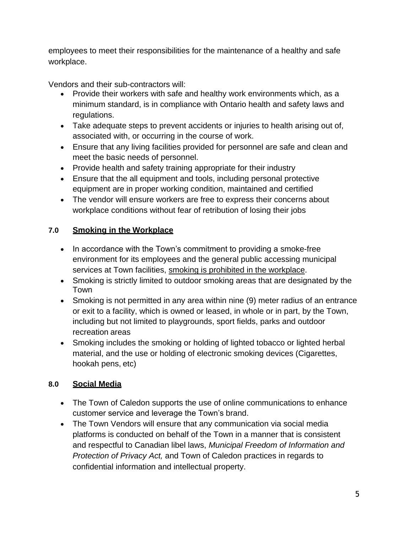employees to meet their responsibilities for the maintenance of a healthy and safe workplace.

Vendors and their sub-contractors will:

- Provide their workers with safe and healthy work environments which, as a minimum standard, is in compliance with Ontario health and safety laws and regulations.
- Take adequate steps to prevent accidents or injuries to health arising out of, associated with, or occurring in the course of work.
- Ensure that any living facilities provided for personnel are safe and clean and meet the basic needs of personnel.
- Provide health and safety training appropriate for their industry
- Ensure that the all equipment and tools, including personal protective equipment are in proper working condition, maintained and certified
- The vendor will ensure workers are free to express their concerns about workplace conditions without fear of retribution of losing their jobs

# **7.0 Smoking in the Workplace**

- In accordance with the Town's commitment to providing a smoke-free environment for its employees and the general public accessing municipal services at Town facilities, smoking is prohibited in the workplace.
- Smoking is strictly limited to outdoor smoking areas that are designated by the Town
- Smoking is not permitted in any area within nine (9) meter radius of an entrance or exit to a facility, which is owned or leased, in whole or in part, by the Town, including but not limited to playgrounds, sport fields, parks and outdoor recreation areas
- Smoking includes the smoking or holding of lighted tobacco or lighted herbal material, and the use or holding of electronic smoking devices (Cigarettes, hookah pens, etc)

## **8.0 Social Media**

- The Town of Caledon supports the use of online communications to enhance customer service and leverage the Town's brand.
- The Town Vendors will ensure that any communication via social media platforms is conducted on behalf of the Town in a manner that is consistent and respectful to Canadian libel laws, *Municipal Freedom of Information and Protection of Privacy Act,* and Town of Caledon practices in regards to confidential information and intellectual property.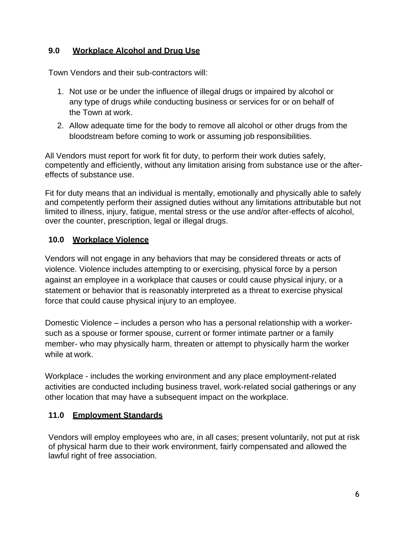#### **9.0 Workplace Alcohol and Drug Use**

Town Vendors and their sub-contractors will:

- 1. Not use or be under the influence of illegal drugs or impaired by alcohol or any type of drugs while conducting business or services for or on behalf of the Town at work.
- 2. Allow adequate time for the body to remove all alcohol or other drugs from the bloodstream before coming to work or assuming job responsibilities.

All Vendors must report for work fit for duty, to perform their work duties safely, competently and efficiently, without any limitation arising from substance use or the aftereffects of substance use.

Fit for duty means that an individual is mentally, emotionally and physically able to safely and competently perform their assigned duties without any limitations attributable but not limited to illness, injury, fatigue, mental stress or the use and/or after-effects of alcohol, over the counter, prescription, legal or illegal drugs.

#### **10.0 Workplace Violence**

Vendors will not engage in any behaviors that may be considered threats or acts of violence. Violence includes attempting to or exercising, physical force by a person against an employee in a workplace that causes or could cause physical injury, or a statement or behavior that is reasonably interpreted as a threat to exercise physical force that could cause physical injury to an employee.

Domestic Violence – includes a person who has a personal relationship with a workersuch as a spouse or former spouse, current or former intimate partner or a family member- who may physically harm, threaten or attempt to physically harm the worker while at work.

Workplace - includes the working environment and any place employment-related activities are conducted including business travel, work-related social gatherings or any other location that may have a subsequent impact on the workplace.

#### **11.0 Employment Standards**

Vendors will employ employees who are, in all cases; present voluntarily, not put at risk of physical harm due to their work environment, fairly compensated and allowed the lawful right of free association.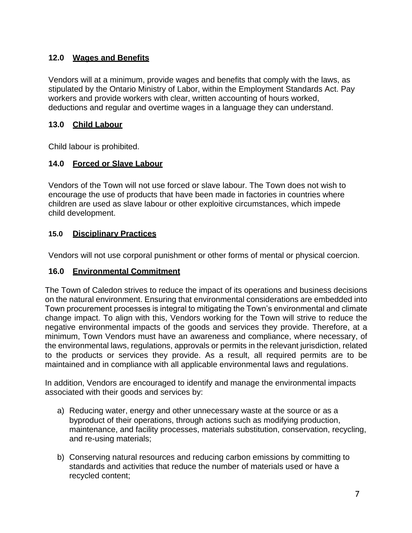## **12.0 Wages and Benefits**

Vendors will at a minimum, provide wages and benefits that comply with the laws, as stipulated by the Ontario Ministry of Labor, within the Employment Standards Act. Pay workers and provide workers with clear, written accounting of hours worked, deductions and regular and overtime wages in a language they can understand.

#### **13.0 Child Labour**

Child labour is prohibited.

## **14.0 Forced or Slave Labour**

Vendors of the Town will not use forced or slave labour. The Town does not wish to encourage the use of products that have been made in factories in countries where children are used as slave labour or other exploitive circumstances, which impede child development.

#### **15.0 Disciplinary Practices**

Vendors will not use corporal punishment or other forms of mental or physical coercion.

#### **16.0 Environmental Commitment**

The Town of Caledon strives to reduce the impact of its operations and business decisions on the natural environment. Ensuring that environmental considerations are embedded into Town procurement processes is integral to mitigating the Town's environmental and climate change impact. To align with this, Vendors working for the Town will strive to reduce the negative environmental impacts of the goods and services they provide. Therefore, at a minimum, Town Vendors must have an awareness and compliance, where necessary, of the environmental laws, regulations, approvals or permits in the relevant jurisdiction, related to the products or services they provide. As a result, all required permits are to be maintained and in compliance with all applicable environmental laws and regulations.

In addition, Vendors are encouraged to identify and manage the environmental impacts associated with their goods and services by:

- a) Reducing water, energy and other unnecessary waste at the source or as a byproduct of their operations, through actions such as modifying production, maintenance, and facility processes, materials substitution, conservation, recycling, and re-using materials;
- b) Conserving natural resources and reducing carbon emissions by committing to standards and activities that reduce the number of materials used or have a recycled content;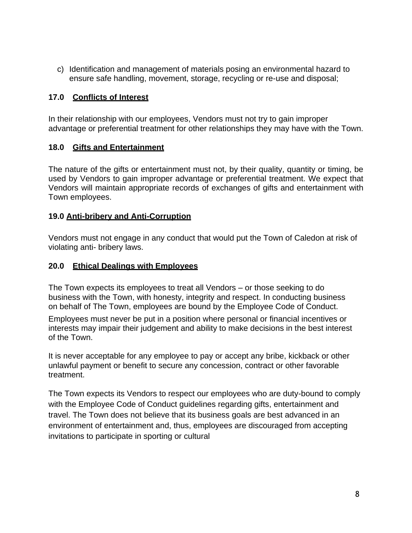c) Identification and management of materials posing an environmental hazard to ensure safe handling, movement, storage, recycling or re-use and disposal;

#### **17.0 Conflicts of Interest**

In their relationship with our employees, Vendors must not try to gain improper advantage or preferential treatment for other relationships they may have with the Town.

#### **18.0 Gifts and Entertainment**

The nature of the gifts or entertainment must not, by their quality, quantity or timing, be used by Vendors to gain improper advantage or preferential treatment. We expect that Vendors will maintain appropriate records of exchanges of gifts and entertainment with Town employees.

#### **19.0 Anti-bribery and Anti-Corruption**

Vendors must not engage in any conduct that would put the Town of Caledon at risk of violating anti- bribery laws.

#### **20.0 Ethical Dealings with Employees**

The Town expects its employees to treat all Vendors – or those seeking to do business with the Town, with honesty, integrity and respect. In conducting business on behalf of The Town, employees are bound by the Employee Code of Conduct.

Employees must never be put in a position where personal or financial incentives or interests may impair their judgement and ability to make decisions in the best interest of the Town.

It is never acceptable for any employee to pay or accept any bribe, kickback or other unlawful payment or benefit to secure any concession, contract or other favorable treatment.

The Town expects its Vendors to respect our employees who are duty-bound to comply with the Employee Code of Conduct guidelines regarding gifts, entertainment and travel. The Town does not believe that its business goals are best advanced in an environment of entertainment and, thus, employees are discouraged from accepting invitations to participate in sporting or cultural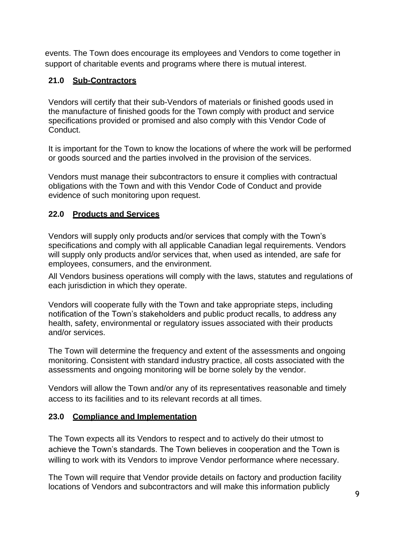events. The Town does encourage its employees and Vendors to come together in support of charitable events and programs where there is mutual interest.

# **21.0 Sub-Contractors**

Vendors will certify that their sub-Vendors of materials or finished goods used in the manufacture of finished goods for the Town comply with product and service specifications provided or promised and also comply with this Vendor Code of Conduct.

It is important for the Town to know the locations of where the work will be performed or goods sourced and the parties involved in the provision of the services.

Vendors must manage their subcontractors to ensure it complies with contractual obligations with the Town and with this Vendor Code of Conduct and provide evidence of such monitoring upon request.

## **22.0 Products and Services**

Vendors will supply only products and/or services that comply with the Town's specifications and comply with all applicable Canadian legal requirements. Vendors will supply only products and/or services that, when used as intended, are safe for employees, consumers, and the environment.

All Vendors business operations will comply with the laws, statutes and regulations of each jurisdiction in which they operate.

Vendors will cooperate fully with the Town and take appropriate steps, including notification of the Town's stakeholders and public product recalls, to address any health, safety, environmental or regulatory issues associated with their products and/or services.

The Town will determine the frequency and extent of the assessments and ongoing monitoring. Consistent with standard industry practice, all costs associated with the assessments and ongoing monitoring will be borne solely by the vendor.

Vendors will allow the Town and/or any of its representatives reasonable and timely access to its facilities and to its relevant records at all times.

## **23.0 Compliance and Implementation**

The Town expects all its Vendors to respect and to actively do their utmost to achieve the Town's standards. The Town believes in cooperation and the Town is willing to work with its Vendors to improve Vendor performance where necessary.

The Town will require that Vendor provide details on factory and production facility locations of Vendors and subcontractors and will make this information publicly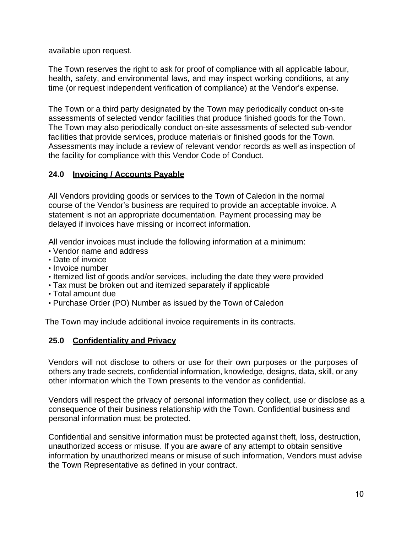available upon request.

The Town reserves the right to ask for proof of compliance with all applicable labour, health, safety, and environmental laws, and may inspect working conditions, at any time (or request independent verification of compliance) at the Vendor's expense.

The Town or a third party designated by the Town may periodically conduct on-site assessments of selected vendor facilities that produce finished goods for the Town. The Town may also periodically conduct on-site assessments of selected sub-vendor facilities that provide services, produce materials or finished goods for the Town. Assessments may include a review of relevant vendor records as well as inspection of the facility for compliance with this Vendor Code of Conduct.

#### **24.0 Invoicing / Accounts Payable**

All Vendors providing goods or services to the Town of Caledon in the normal course of the Vendor's business are required to provide an acceptable invoice. A statement is not an appropriate documentation. Payment processing may be delayed if invoices have missing or incorrect information.

All vendor invoices must include the following information at a minimum:

- Vendor name and address
- Date of invoice
- Invoice number
- Itemized list of goods and/or services, including the date they were provided
- Tax must be broken out and itemized separately if applicable
- Total amount due
- Purchase Order (PO) Number as issued by the Town of Caledon

The Town may include additional invoice requirements in its contracts.

#### **25.0 Confidentiality and Privacy**

Vendors will not disclose to others or use for their own purposes or the purposes of others any trade secrets, confidential information, knowledge, designs, data, skill, or any other information which the Town presents to the vendor as confidential.

Vendors will respect the privacy of personal information they collect, use or disclose as a consequence of their business relationship with the Town. Confidential business and personal information must be protected.

Confidential and sensitive information must be protected against theft, loss, destruction, unauthorized access or misuse. If you are aware of any attempt to obtain sensitive information by unauthorized means or misuse of such information, Vendors must advise the Town Representative as defined in your contract.